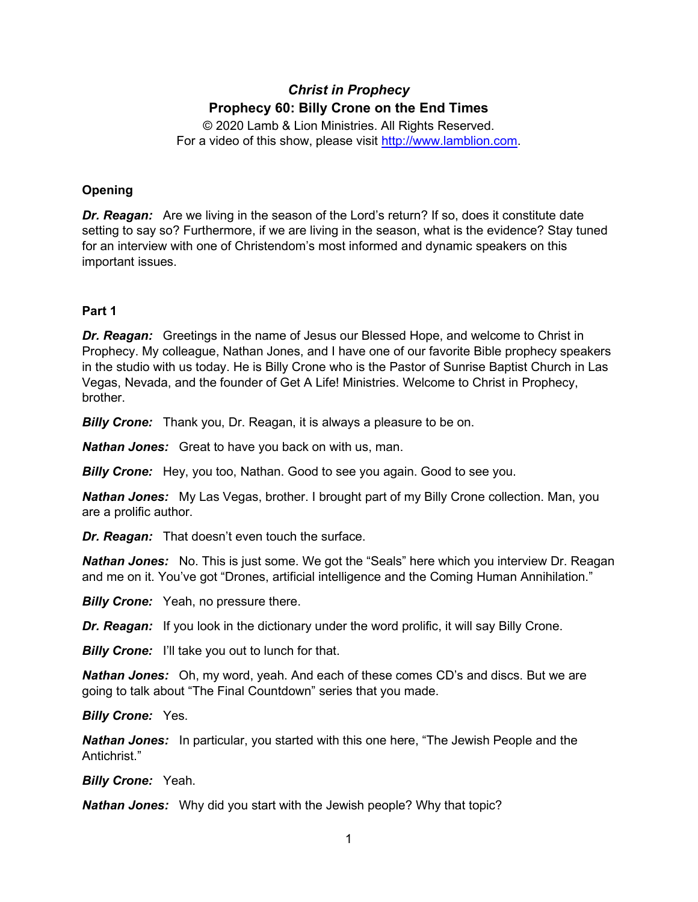# *Christ in Prophecy* **Prophecy 60: Billy Crone on the End Times**

© 2020 Lamb & Lion Ministries. All Rights Reserved. For a video of this show, please visit [http://www.lamblion.com.](http://www.lamblion.com/)

# **Opening**

*Dr. Reagan:* Are we living in the season of the Lord's return? If so, does it constitute date setting to say so? Furthermore, if we are living in the season, what is the evidence? Stay tuned for an interview with one of Christendom's most informed and dynamic speakers on this important issues.

# **Part 1**

*Dr. Reagan:* Greetings in the name of Jesus our Blessed Hope, and welcome to Christ in Prophecy. My colleague, Nathan Jones, and I have one of our favorite Bible prophecy speakers in the studio with us today. He is Billy Crone who is the Pastor of Sunrise Baptist Church in Las Vegas, Nevada, and the founder of Get A Life! Ministries. Welcome to Christ in Prophecy, brother.

*Billy Crone:* Thank you, Dr. Reagan, it is always a pleasure to be on.

*Nathan Jones:* Great to have you back on with us, man.

*Billy Crone:* Hey, you too, Nathan. Good to see you again. Good to see you.

*Nathan Jones:* My Las Vegas, brother. I brought part of my Billy Crone collection. Man, you are a prolific author.

*Dr. Reagan:* That doesn't even touch the surface.

*Nathan Jones:* No. This is just some. We got the "Seals" here which you interview Dr. Reagan and me on it. You've got "Drones, artificial intelligence and the Coming Human Annihilation."

*Billy Crone:* Yeah, no pressure there.

**Dr. Reagan:** If you look in the dictionary under the word prolific, it will say Billy Crone.

**Billy Crone:** I'll take you out to lunch for that.

*Nathan Jones:* Oh, my word, yeah. And each of these comes CD's and discs. But we are going to talk about "The Final Countdown" series that you made.

*Billy Crone:* Yes.

*Nathan Jones:* In particular, you started with this one here, "The Jewish People and the Antichrist."

*Billy Crone:* Yeah.

*Nathan Jones:* Why did you start with the Jewish people? Why that topic?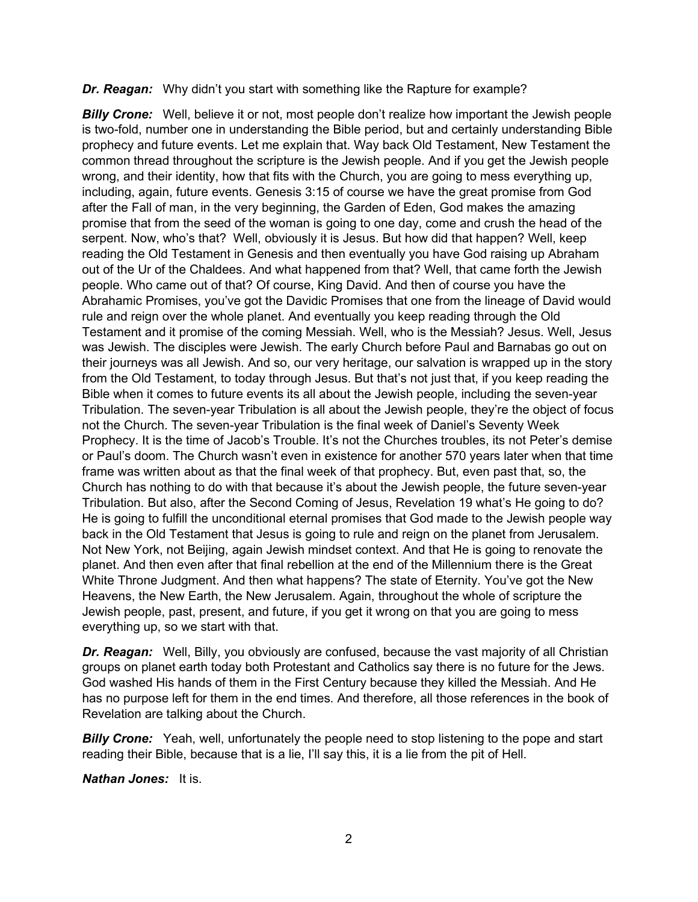#### *Dr. Reagan:* Why didn't you start with something like the Rapture for example?

**Billy Crone:** Well, believe it or not, most people don't realize how important the Jewish people is two-fold, number one in understanding the Bible period, but and certainly understanding Bible prophecy and future events. Let me explain that. Way back Old Testament, New Testament the common thread throughout the scripture is the Jewish people. And if you get the Jewish people wrong, and their identity, how that fits with the Church, you are going to mess everything up, including, again, future events. Genesis 3:15 of course we have the great promise from God after the Fall of man, in the very beginning, the Garden of Eden, God makes the amazing promise that from the seed of the woman is going to one day, come and crush the head of the serpent. Now, who's that? Well, obviously it is Jesus. But how did that happen? Well, keep reading the Old Testament in Genesis and then eventually you have God raising up Abraham out of the Ur of the Chaldees. And what happened from that? Well, that came forth the Jewish people. Who came out of that? Of course, King David. And then of course you have the Abrahamic Promises, you've got the Davidic Promises that one from the lineage of David would rule and reign over the whole planet. And eventually you keep reading through the Old Testament and it promise of the coming Messiah. Well, who is the Messiah? Jesus. Well, Jesus was Jewish. The disciples were Jewish. The early Church before Paul and Barnabas go out on their journeys was all Jewish. And so, our very heritage, our salvation is wrapped up in the story from the Old Testament, to today through Jesus. But that's not just that, if you keep reading the Bible when it comes to future events its all about the Jewish people, including the seven-year Tribulation. The seven-year Tribulation is all about the Jewish people, they're the object of focus not the Church. The seven-year Tribulation is the final week of Daniel's Seventy Week Prophecy. It is the time of Jacob's Trouble. It's not the Churches troubles, its not Peter's demise or Paul's doom. The Church wasn't even in existence for another 570 years later when that time frame was written about as that the final week of that prophecy. But, even past that, so, the Church has nothing to do with that because it's about the Jewish people, the future seven-year Tribulation. But also, after the Second Coming of Jesus, Revelation 19 what's He going to do? He is going to fulfill the unconditional eternal promises that God made to the Jewish people way back in the Old Testament that Jesus is going to rule and reign on the planet from Jerusalem. Not New York, not Beijing, again Jewish mindset context. And that He is going to renovate the planet. And then even after that final rebellion at the end of the Millennium there is the Great White Throne Judgment. And then what happens? The state of Eternity. You've got the New Heavens, the New Earth, the New Jerusalem. Again, throughout the whole of scripture the Jewish people, past, present, and future, if you get it wrong on that you are going to mess everything up, so we start with that.

*Dr. Reagan:* Well, Billy, you obviously are confused, because the vast majority of all Christian groups on planet earth today both Protestant and Catholics say there is no future for the Jews. God washed His hands of them in the First Century because they killed the Messiah. And He has no purpose left for them in the end times. And therefore, all those references in the book of Revelation are talking about the Church.

**Billy Crone:** Yeah, well, unfortunately the people need to stop listening to the pope and start reading their Bible, because that is a lie, I'll say this, it is a lie from the pit of Hell.

*Nathan Jones:* It is.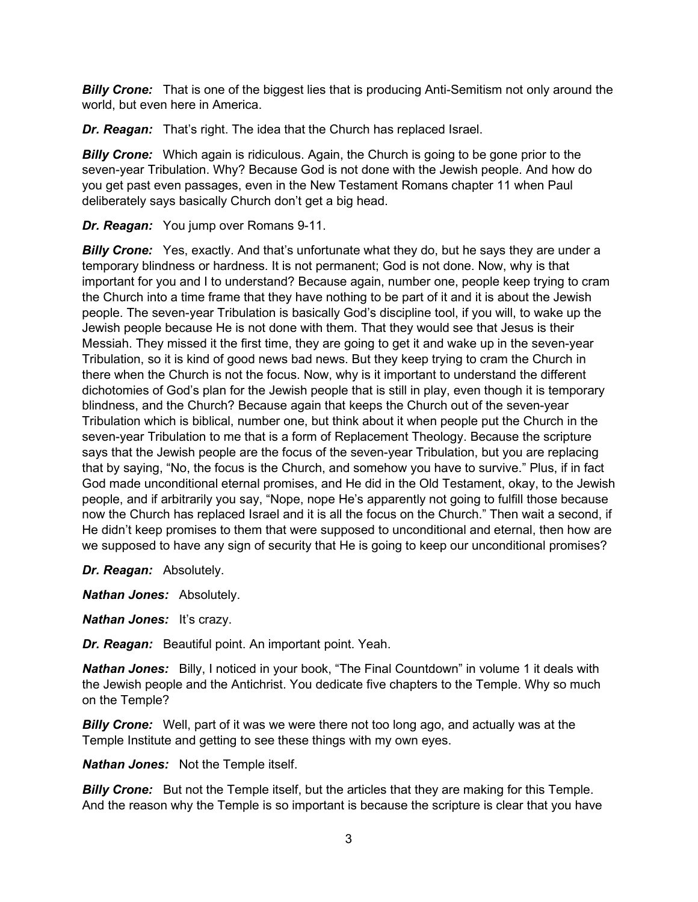*Billy Crone:* That is one of the biggest lies that is producing Anti-Semitism not only around the world, but even here in America.

*Dr. Reagan:* That's right. The idea that the Church has replaced Israel.

**Billy Crone:** Which again is ridiculous. Again, the Church is going to be gone prior to the seven-year Tribulation. Why? Because God is not done with the Jewish people. And how do you get past even passages, even in the New Testament Romans chapter 11 when Paul deliberately says basically Church don't get a big head.

*Dr. Reagan:* You jump over Romans 9-11.

**Billy Crone:** Yes, exactly. And that's unfortunate what they do, but he says they are under a temporary blindness or hardness. It is not permanent; God is not done. Now, why is that important for you and I to understand? Because again, number one, people keep trying to cram the Church into a time frame that they have nothing to be part of it and it is about the Jewish people. The seven-year Tribulation is basically God's discipline tool, if you will, to wake up the Jewish people because He is not done with them. That they would see that Jesus is their Messiah. They missed it the first time, they are going to get it and wake up in the seven-year Tribulation, so it is kind of good news bad news. But they keep trying to cram the Church in there when the Church is not the focus. Now, why is it important to understand the different dichotomies of God's plan for the Jewish people that is still in play, even though it is temporary blindness, and the Church? Because again that keeps the Church out of the seven-year Tribulation which is biblical, number one, but think about it when people put the Church in the seven-year Tribulation to me that is a form of Replacement Theology. Because the scripture says that the Jewish people are the focus of the seven-year Tribulation, but you are replacing that by saying, "No, the focus is the Church, and somehow you have to survive." Plus, if in fact God made unconditional eternal promises, and He did in the Old Testament, okay, to the Jewish people, and if arbitrarily you say, "Nope, nope He's apparently not going to fulfill those because now the Church has replaced Israel and it is all the focus on the Church." Then wait a second, if He didn't keep promises to them that were supposed to unconditional and eternal, then how are we supposed to have any sign of security that He is going to keep our unconditional promises?

*Dr. Reagan:* Absolutely.

*Nathan Jones:* Absolutely.

*Nathan Jones:* It's crazy.

*Dr. Reagan:* Beautiful point. An important point. Yeah.

*Nathan Jones:* Billy, I noticed in your book, "The Final Countdown" in volume 1 it deals with the Jewish people and the Antichrist. You dedicate five chapters to the Temple. Why so much on the Temple?

*Billy Crone:* Well, part of it was we were there not too long ago, and actually was at the Temple Institute and getting to see these things with my own eyes.

*Nathan Jones:* Not the Temple itself.

*Billy Crone:* But not the Temple itself, but the articles that they are making for this Temple. And the reason why the Temple is so important is because the scripture is clear that you have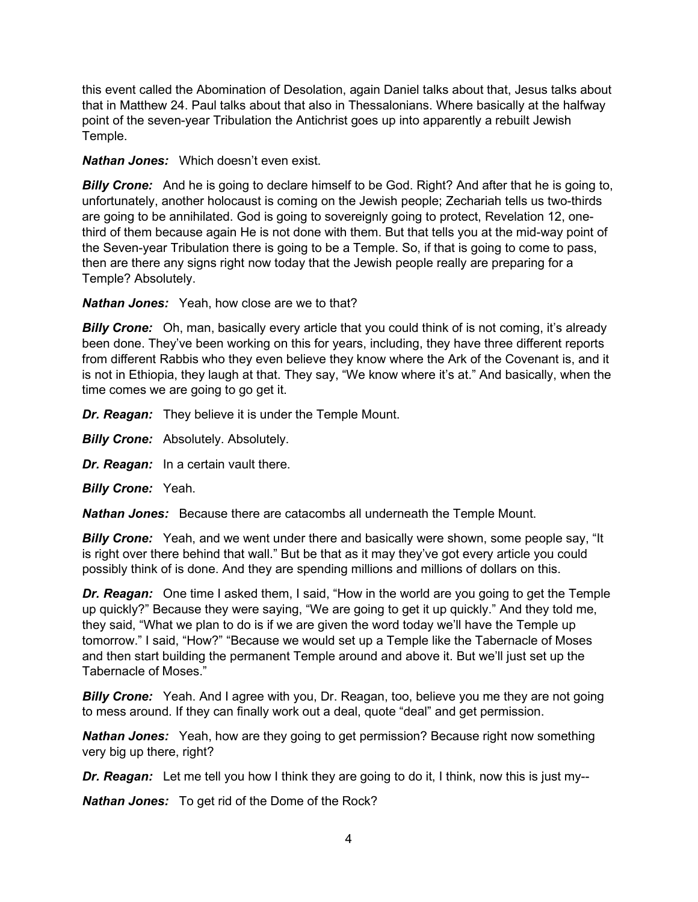this event called the Abomination of Desolation, again Daniel talks about that, Jesus talks about that in Matthew 24. Paul talks about that also in Thessalonians. Where basically at the halfway point of the seven-year Tribulation the Antichrist goes up into apparently a rebuilt Jewish Temple.

*Nathan Jones:* Which doesn't even exist.

*Billy Crone:* And he is going to declare himself to be God. Right? And after that he is going to, unfortunately, another holocaust is coming on the Jewish people; Zechariah tells us two-thirds are going to be annihilated. God is going to sovereignly going to protect, Revelation 12, onethird of them because again He is not done with them. But that tells you at the mid-way point of the Seven-year Tribulation there is going to be a Temple. So, if that is going to come to pass, then are there any signs right now today that the Jewish people really are preparing for a Temple? Absolutely.

*Nathan Jones:* Yeah, how close are we to that?

**Billy Crone:** Oh, man, basically every article that you could think of is not coming, it's already been done. They've been working on this for years, including, they have three different reports from different Rabbis who they even believe they know where the Ark of the Covenant is, and it is not in Ethiopia, they laugh at that. They say, "We know where it's at." And basically, when the time comes we are going to go get it.

*Dr. Reagan:* They believe it is under the Temple Mount.

**Billy Crone:** Absolutely. Absolutely.

*Dr. Reagan:* In a certain vault there.

*Billy Crone:* Yeah.

*Nathan Jones:* Because there are catacombs all underneath the Temple Mount.

*Billy Crone:* Yeah, and we went under there and basically were shown, some people say, "It is right over there behind that wall." But be that as it may they've got every article you could possibly think of is done. And they are spending millions and millions of dollars on this.

**Dr. Reagan:** One time I asked them, I said, "How in the world are you going to get the Temple up quickly?" Because they were saying, "We are going to get it up quickly." And they told me, they said, "What we plan to do is if we are given the word today we'll have the Temple up tomorrow." I said, "How?" "Because we would set up a Temple like the Tabernacle of Moses and then start building the permanent Temple around and above it. But we'll just set up the Tabernacle of Moses."

**Billy Crone:** Yeah. And I agree with you, Dr. Reagan, too, believe you me they are not going to mess around. If they can finally work out a deal, quote "deal" and get permission.

*Nathan Jones:* Yeah, how are they going to get permission? Because right now something very big up there, right?

*Dr. Reagan:* Let me tell you how I think they are going to do it, I think, now this is just my--

*Nathan Jones:* To get rid of the Dome of the Rock?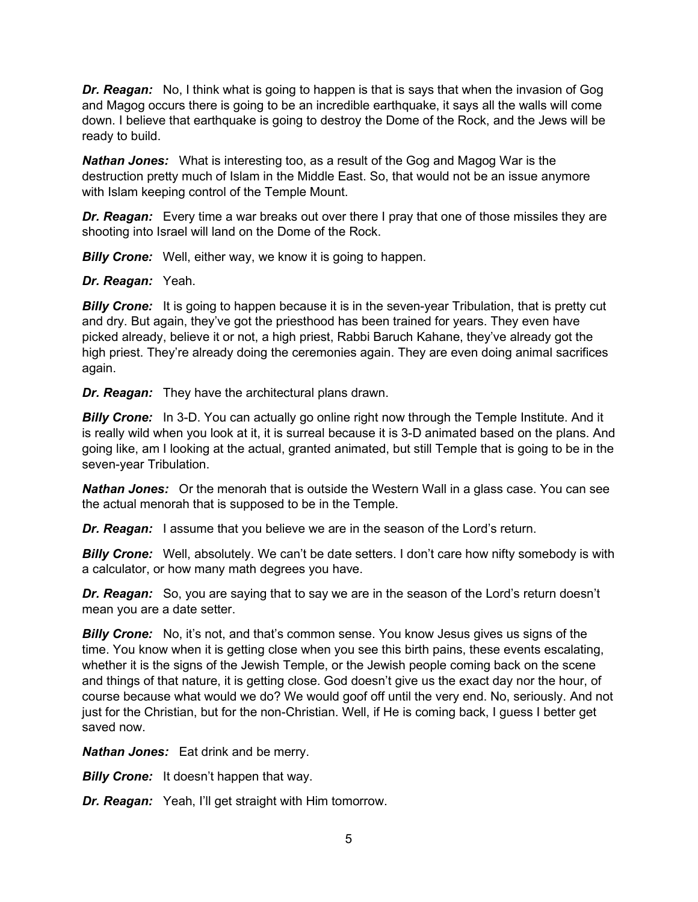*Dr. Reagan:* No, I think what is going to happen is that is says that when the invasion of Gog and Magog occurs there is going to be an incredible earthquake, it says all the walls will come down. I believe that earthquake is going to destroy the Dome of the Rock, and the Jews will be ready to build.

*Nathan Jones:* What is interesting too, as a result of the Gog and Magog War is the destruction pretty much of Islam in the Middle East. So, that would not be an issue anymore with Islam keeping control of the Temple Mount.

*Dr. Reagan:* Every time a war breaks out over there I pray that one of those missiles they are shooting into Israel will land on the Dome of the Rock.

**Billy Crone:** Well, either way, we know it is going to happen.

*Dr. Reagan:* Yeah.

**Billy Crone:** It is going to happen because it is in the seven-year Tribulation, that is pretty cut and dry. But again, they've got the priesthood has been trained for years. They even have picked already, believe it or not, a high priest, Rabbi Baruch Kahane, they've already got the high priest. They're already doing the ceremonies again. They are even doing animal sacrifices again.

*Dr. Reagan:* They have the architectural plans drawn.

**Billy Crone:** In 3-D. You can actually go online right now through the Temple Institute. And it is really wild when you look at it, it is surreal because it is 3-D animated based on the plans. And going like, am I looking at the actual, granted animated, but still Temple that is going to be in the seven-year Tribulation.

*Nathan Jones:* Or the menorah that is outside the Western Wall in a glass case. You can see the actual menorah that is supposed to be in the Temple.

*Dr. Reagan:* I assume that you believe we are in the season of the Lord's return.

**Billy Crone:** Well, absolutely. We can't be date setters. I don't care how nifty somebody is with a calculator, or how many math degrees you have.

*Dr. Reagan:* So, you are saying that to say we are in the season of the Lord's return doesn't mean you are a date setter.

*Billy Crone:* No, it's not, and that's common sense. You know Jesus gives us signs of the time. You know when it is getting close when you see this birth pains, these events escalating, whether it is the signs of the Jewish Temple, or the Jewish people coming back on the scene and things of that nature, it is getting close. God doesn't give us the exact day nor the hour, of course because what would we do? We would goof off until the very end. No, seriously. And not just for the Christian, but for the non-Christian. Well, if He is coming back, I guess I better get saved now.

*Nathan Jones:* Eat drink and be merry.

**Billy Crone:** It doesn't happen that way.

*Dr. Reagan:* Yeah, I'll get straight with Him tomorrow.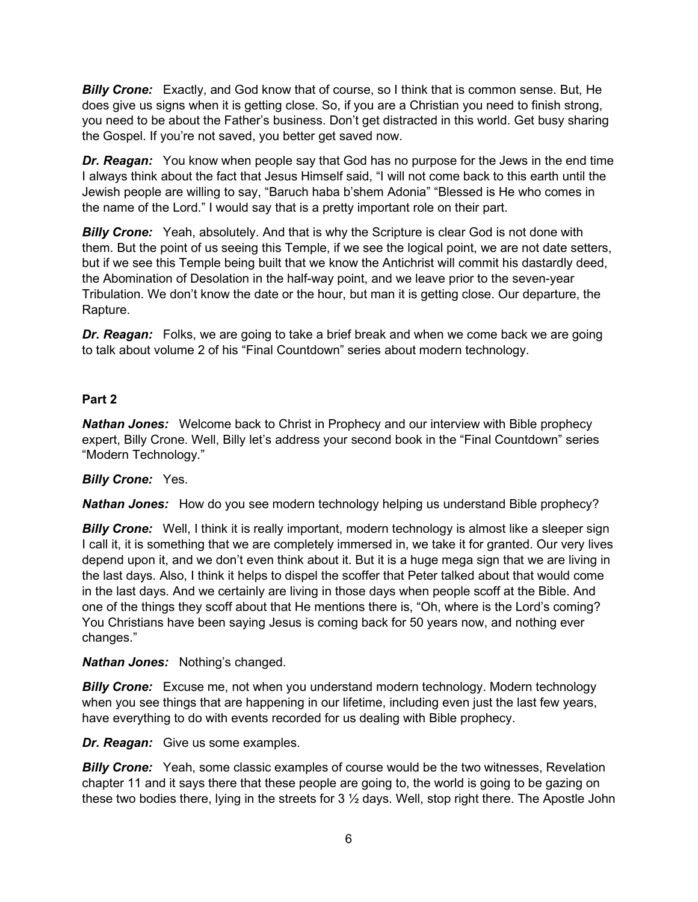*Billy Crone:* Exactly, and God know that of course, so I think that is common sense. But, He does give us signs when it is getting close. So, if you are a Christian you need to finish strong, you need to be about the Father's business. Don't get distracted in this world. Get busy sharing the Gospel. If you're not saved, you better get saved now.

*Dr. Reagan:* You know when people say that God has no purpose for the Jews in the end time I always think about the fact that Jesus Himself said, "I will not come back to this earth until the Jewish people are willing to say, "Baruch haba b'shem Adonia" "Blessed is He who comes in the name of the Lord." I would say that is a pretty important role on their part.

**Billy Crone:** Yeah, absolutely. And that is why the Scripture is clear God is not done with them. But the point of us seeing this Temple, if we see the logical point, we are not date setters, but if we see this Temple being built that we know the Antichrist will commit his dastardly deed, the Abomination of Desolation in the half-way point, and we leave prior to the seven-year Tribulation. We don't know the date or the hour, but man it is getting close. Our departure, the Rapture.

*Dr. Reagan:* Folks, we are going to take a brief break and when we come back we are going to talk about volume 2 of his "Final Countdown" series about modern technology.

### **Part 2**

*Nathan Jones:* Welcome back to Christ in Prophecy and our interview with Bible prophecy expert, Billy Crone. Well, Billy let's address your second book in the "Final Countdown" series "Modern Technology."

### *Billy Crone:* Yes.

*Nathan Jones:* How do you see modern technology helping us understand Bible prophecy?

*Billy Crone:* Well, I think it is really important, modern technology is almost like a sleeper sign I call it, it is something that we are completely immersed in, we take it for granted. Our very lives depend upon it, and we don't even think about it. But it is a huge mega sign that we are living in the last days. Also, I think it helps to dispel the scoffer that Peter talked about that would come in the last days. And we certainly are living in those days when people scoff at the Bible. And one of the things they scoff about that He mentions there is, "Oh, where is the Lord's coming? You Christians have been saying Jesus is coming back for 50 years now, and nothing ever changes."

### *Nathan Jones:* Nothing's changed.

*Billy Crone:* Excuse me, not when you understand modern technology. Modern technology when you see things that are happening in our lifetime, including even just the last few years, have everything to do with events recorded for us dealing with Bible prophecy.

*Dr. Reagan:* Give us some examples.

**Billy Crone:** Yeah, some classic examples of course would be the two witnesses, Revelation chapter 11 and it says there that these people are going to, the world is going to be gazing on these two bodies there, lying in the streets for 3 ½ days. Well, stop right there. The Apostle John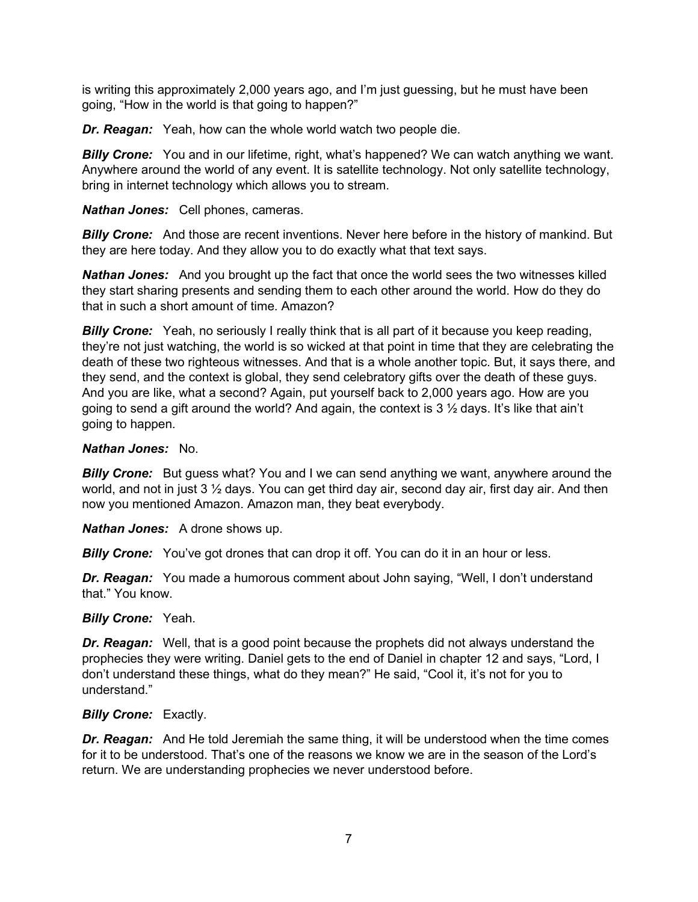is writing this approximately 2,000 years ago, and I'm just guessing, but he must have been going, "How in the world is that going to happen?"

*Dr. Reagan:* Yeah, how can the whole world watch two people die.

**Billy Crone:** You and in our lifetime, right, what's happened? We can watch anything we want. Anywhere around the world of any event. It is satellite technology. Not only satellite technology, bring in internet technology which allows you to stream.

*Nathan Jones:* Cell phones, cameras.

*Billy Crone:* And those are recent inventions. Never here before in the history of mankind. But they are here today. And they allow you to do exactly what that text says.

*Nathan Jones:* And you brought up the fact that once the world sees the two witnesses killed they start sharing presents and sending them to each other around the world. How do they do that in such a short amount of time. Amazon?

**Billy Crone:** Yeah, no seriously I really think that is all part of it because you keep reading, they're not just watching, the world is so wicked at that point in time that they are celebrating the death of these two righteous witnesses. And that is a whole another topic. But, it says there, and they send, and the context is global, they send celebratory gifts over the death of these guys. And you are like, what a second? Again, put yourself back to 2,000 years ago. How are you going to send a gift around the world? And again, the context is  $3\frac{1}{2}$  days. It's like that ain't going to happen.

#### *Nathan Jones:* No.

*Billy Crone:* But guess what? You and I we can send anything we want, anywhere around the world, and not in just 3  $\frac{1}{2}$  days. You can get third day air, second day air, first day air. And then now you mentioned Amazon. Amazon man, they beat everybody.

*Nathan Jones:* A drone shows up.

**Billy Crone:** You've got drones that can drop it off. You can do it in an hour or less.

*Dr. Reagan:* You made a humorous comment about John saying, "Well, I don't understand that." You know.

#### *Billy Crone:* Yeah.

*Dr. Reagan:* Well, that is a good point because the prophets did not always understand the prophecies they were writing. Daniel gets to the end of Daniel in chapter 12 and says, "Lord, I don't understand these things, what do they mean?" He said, "Cool it, it's not for you to understand."

#### *Billy Crone:* Exactly.

**Dr. Reagan:** And He told Jeremiah the same thing, it will be understood when the time comes for it to be understood. That's one of the reasons we know we are in the season of the Lord's return. We are understanding prophecies we never understood before.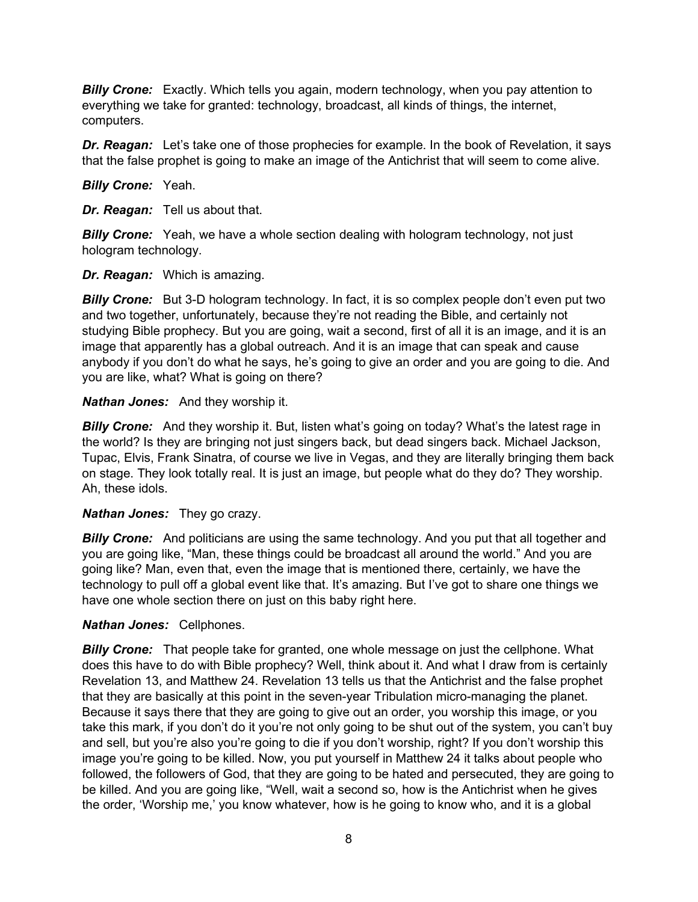*Billy Crone:* Exactly. Which tells you again, modern technology, when you pay attention to everything we take for granted: technology, broadcast, all kinds of things, the internet, computers.

*Dr. Reagan:* Let's take one of those prophecies for example. In the book of Revelation, it says that the false prophet is going to make an image of the Antichrist that will seem to come alive.

*Billy Crone:* Yeah.

*Dr. Reagan:* Tell us about that.

*Billy Crone:* Yeah, we have a whole section dealing with hologram technology, not just hologram technology.

*Dr. Reagan:* Which is amazing.

**Billy Crone:** But 3-D hologram technology. In fact, it is so complex people don't even put two and two together, unfortunately, because they're not reading the Bible, and certainly not studying Bible prophecy. But you are going, wait a second, first of all it is an image, and it is an image that apparently has a global outreach. And it is an image that can speak and cause anybody if you don't do what he says, he's going to give an order and you are going to die. And you are like, what? What is going on there?

#### *Nathan Jones:* And they worship it.

**Billy Crone:** And they worship it. But, listen what's going on today? What's the latest rage in the world? Is they are bringing not just singers back, but dead singers back. Michael Jackson, Tupac, Elvis, Frank Sinatra, of course we live in Vegas, and they are literally bringing them back on stage. They look totally real. It is just an image, but people what do they do? They worship. Ah, these idols.

#### *Nathan Jones:* They go crazy.

**Billy Crone:** And politicians are using the same technology. And you put that all together and you are going like, "Man, these things could be broadcast all around the world." And you are going like? Man, even that, even the image that is mentioned there, certainly, we have the technology to pull off a global event like that. It's amazing. But I've got to share one things we have one whole section there on just on this baby right here.

#### *Nathan Jones:* Cellphones.

*Billy Crone:* That people take for granted, one whole message on just the cellphone. What does this have to do with Bible prophecy? Well, think about it. And what I draw from is certainly Revelation 13, and Matthew 24. Revelation 13 tells us that the Antichrist and the false prophet that they are basically at this point in the seven-year Tribulation micro-managing the planet. Because it says there that they are going to give out an order, you worship this image, or you take this mark, if you don't do it you're not only going to be shut out of the system, you can't buy and sell, but you're also you're going to die if you don't worship, right? If you don't worship this image you're going to be killed. Now, you put yourself in Matthew 24 it talks about people who followed, the followers of God, that they are going to be hated and persecuted, they are going to be killed. And you are going like, "Well, wait a second so, how is the Antichrist when he gives the order, 'Worship me,' you know whatever, how is he going to know who, and it is a global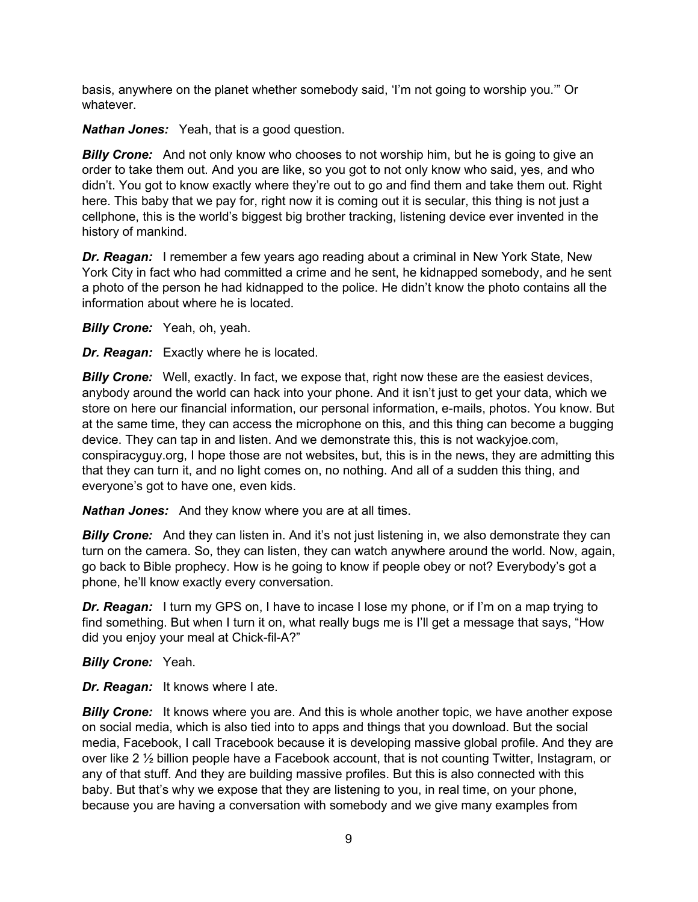basis, anywhere on the planet whether somebody said, 'I'm not going to worship you.'" Or whatever.

*Nathan Jones:* Yeah, that is a good question.

*Billy Crone:* And not only know who chooses to not worship him, but he is going to give an order to take them out. And you are like, so you got to not only know who said, yes, and who didn't. You got to know exactly where they're out to go and find them and take them out. Right here. This baby that we pay for, right now it is coming out it is secular, this thing is not just a cellphone, this is the world's biggest big brother tracking, listening device ever invented in the history of mankind.

**Dr. Reagan:** I remember a few years ago reading about a criminal in New York State, New York City in fact who had committed a crime and he sent, he kidnapped somebody, and he sent a photo of the person he had kidnapped to the police. He didn't know the photo contains all the information about where he is located.

*Billy Crone:* Yeah, oh, yeah.

*Dr. Reagan:* Exactly where he is located.

**Billy Crone:** Well, exactly. In fact, we expose that, right now these are the easiest devices, anybody around the world can hack into your phone. And it isn't just to get your data, which we store on here our financial information, our personal information, e-mails, photos. You know. But at the same time, they can access the microphone on this, and this thing can become a bugging device. They can tap in and listen. And we demonstrate this, this is not wackyjoe.com, conspiracyguy.org, I hope those are not websites, but, this is in the news, they are admitting this that they can turn it, and no light comes on, no nothing. And all of a sudden this thing, and everyone's got to have one, even kids.

*Nathan Jones:* And they know where you are at all times.

**Billy Crone:** And they can listen in. And it's not just listening in, we also demonstrate they can turn on the camera. So, they can listen, they can watch anywhere around the world. Now, again, go back to Bible prophecy. How is he going to know if people obey or not? Everybody's got a phone, he'll know exactly every conversation.

*Dr. Reagan:* I turn my GPS on, I have to incase I lose my phone, or if I'm on a map trying to find something. But when I turn it on, what really bugs me is I'll get a message that says, "How did you enjoy your meal at Chick-fil-A?"

*Billy Crone:* Yeah.

*Dr. Reagan:* It knows where I ate.

*Billy Crone:* It knows where you are. And this is whole another topic, we have another expose on social media, which is also tied into to apps and things that you download. But the social media, Facebook, I call Tracebook because it is developing massive global profile. And they are over like 2 ½ billion people have a Facebook account, that is not counting Twitter, Instagram, or any of that stuff. And they are building massive profiles. But this is also connected with this baby. But that's why we expose that they are listening to you, in real time, on your phone, because you are having a conversation with somebody and we give many examples from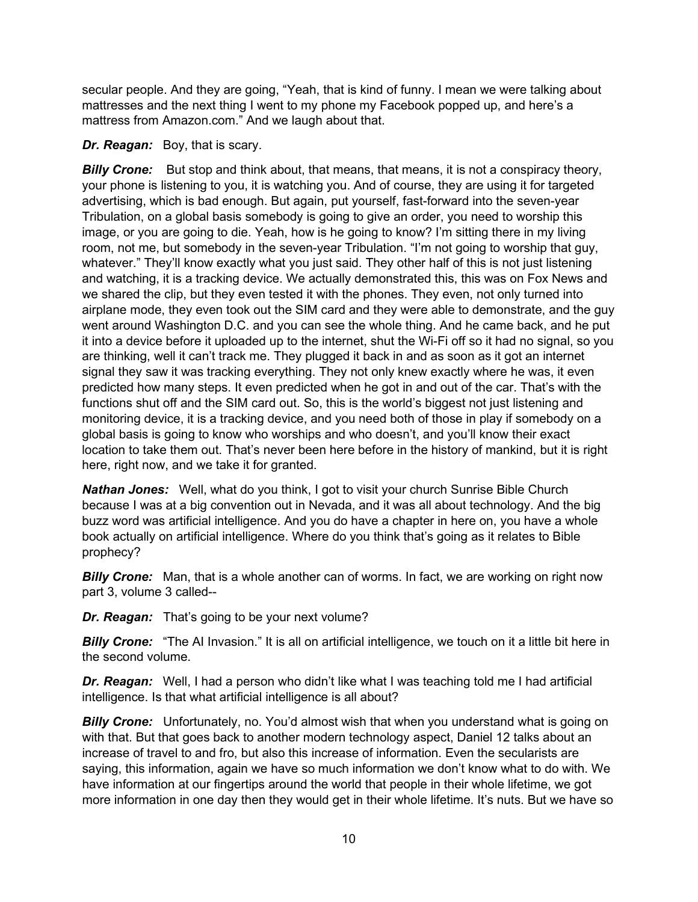secular people. And they are going, "Yeah, that is kind of funny. I mean we were talking about mattresses and the next thing I went to my phone my Facebook popped up, and here's a mattress from Amazon.com." And we laugh about that.

### *Dr. Reagan:* Boy, that is scary.

*Billy Crone:* But stop and think about, that means, that means, it is not a conspiracy theory, your phone is listening to you, it is watching you. And of course, they are using it for targeted advertising, which is bad enough. But again, put yourself, fast-forward into the seven-year Tribulation, on a global basis somebody is going to give an order, you need to worship this image, or you are going to die. Yeah, how is he going to know? I'm sitting there in my living room, not me, but somebody in the seven-year Tribulation. "I'm not going to worship that guy, whatever." They'll know exactly what you just said. They other half of this is not just listening and watching, it is a tracking device. We actually demonstrated this, this was on Fox News and we shared the clip, but they even tested it with the phones. They even, not only turned into airplane mode, they even took out the SIM card and they were able to demonstrate, and the guy went around Washington D.C. and you can see the whole thing. And he came back, and he put it into a device before it uploaded up to the internet, shut the Wi-Fi off so it had no signal, so you are thinking, well it can't track me. They plugged it back in and as soon as it got an internet signal they saw it was tracking everything. They not only knew exactly where he was, it even predicted how many steps. It even predicted when he got in and out of the car. That's with the functions shut off and the SIM card out. So, this is the world's biggest not just listening and monitoring device, it is a tracking device, and you need both of those in play if somebody on a global basis is going to know who worships and who doesn't, and you'll know their exact location to take them out. That's never been here before in the history of mankind, but it is right here, right now, and we take it for granted.

*Nathan Jones:* Well, what do you think, I got to visit your church Sunrise Bible Church because I was at a big convention out in Nevada, and it was all about technology. And the big buzz word was artificial intelligence. And you do have a chapter in here on, you have a whole book actually on artificial intelligence. Where do you think that's going as it relates to Bible prophecy?

**Billy Crone:** Man, that is a whole another can of worms. In fact, we are working on right now part 3, volume 3 called--

*Dr. Reagan:* That's going to be your next volume?

**Billy Crone:** "The AI Invasion." It is all on artificial intelligence, we touch on it a little bit here in the second volume.

*Dr. Reagan:* Well, I had a person who didn't like what I was teaching told me I had artificial intelligence. Is that what artificial intelligence is all about?

**Billy Crone:** Unfortunately, no. You'd almost wish that when you understand what is going on with that. But that goes back to another modern technology aspect, Daniel 12 talks about an increase of travel to and fro, but also this increase of information. Even the secularists are saying, this information, again we have so much information we don't know what to do with. We have information at our fingertips around the world that people in their whole lifetime, we got more information in one day then they would get in their whole lifetime. It's nuts. But we have so